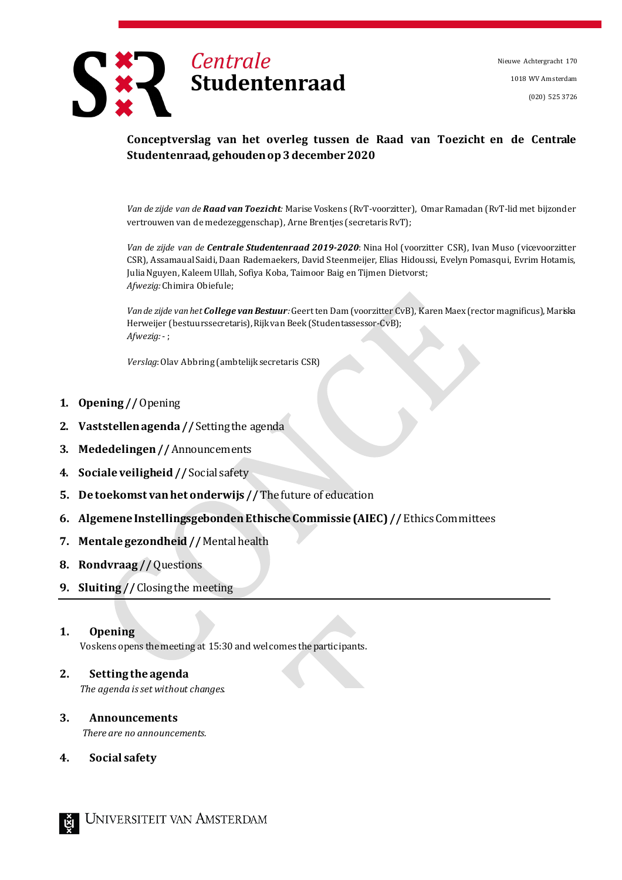

Nieuwe Achtergracht 170 1018 WV Amsterdam (020) 525 3726

## **Conceptverslag van het overleg tussen de Raad van Toezicht en de Centrale Studentenraad, gehoudenop3december2020**

*Van de zijde van de Raad van Toezicht:* Marise Voskens (RvT-voorzitter), Omar Ramadan (RvT-lid met bijzonder vertrouwen van de medezeggenschap), Arne Brentjes (secretarisRvT);

*Van de zijde van de Centrale Studentenraad 2019-2020*: Nina Hol (voorzitter CSR), Ivan Muso (vicevoorzitter CSR), Assamaual Saidi, Daan Rademaekers, David Steenmeijer, Elias Hidoussi, Evelyn Pomasqui, Evrim Hotamis, Julia Nguyen, Kaleem Ullah, Sofiya Koba, Taimoor Baig en Tijmen Dietvorst; *Afwezig:* Chimira Obiefule;

*Vande zijde vanhet College van Bestuur:* Geertten Dam (voorzitter CvB), Karen Maex(rector magnificus),Mariska Herweijer (bestuurssecretaris), Rijk van Beek (Studentassessor-CvB); *Afwezig:*- ;

*Verslag*:Olav Abbring (ambtelijk secretaris CSR)

- **1. Opening //**Opening
- **2. Vaststellenagenda//** Settingthe agenda
- **3. Mededelingen//** Announcements
- **4. Sociale veiligheid//** Social safety
- **5. De toekomst vanhet onderwijs //** Thefuture of education
- **6. Algemene InstellingsgebondenEthischeCommissie (AIEC)//** EthicsCommittees
- 7. **Mentale gezondheid //** Mental health
- **8. Rondvraag //**Questions
- **9. Sluiting //** Closingthe meeting

#### **1. Opening**

Voskens opens the meeting at 15:30 and welcomes the participants.

# **2. Setting the agenda**

*The agenda isset without changes.*

# **3. Announcements**

*There are no announcements.*

**4. Social safety**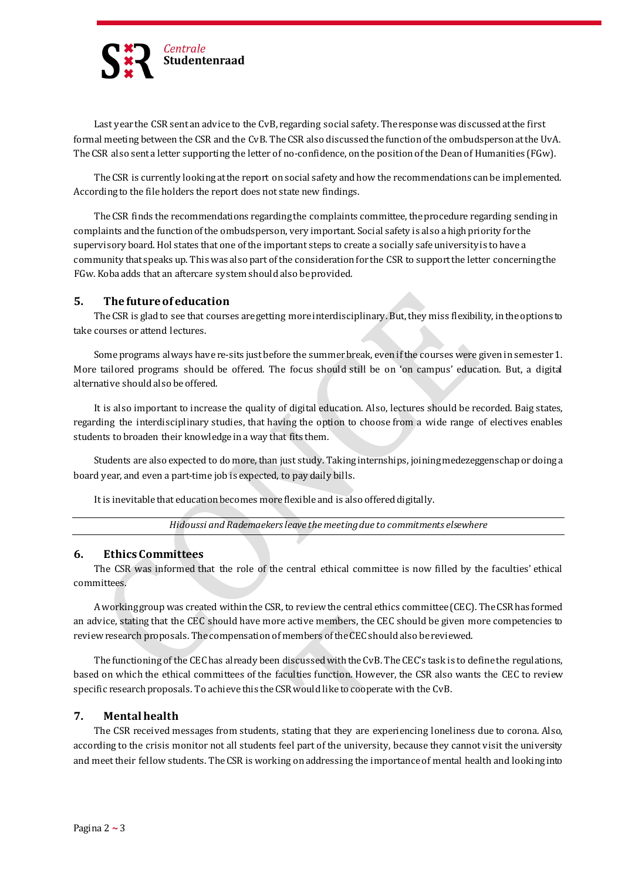

Last year the CSR sent an advice to the CvB, regarding social safety. The responsewas discussedatthe first formal meeting between the CSR and the CvB. TheCSR also discussedthe functionofthe ombudspersonatthe UvA. TheCSR also sent a letter supporting the letter of no-confidence, onthe positionofthe Deanof Humanities (FGw).

TheCSR is currently lookingatthe report onsocial safety andhow the recommendations canbe implemented. Accordingto the fileholders the report does not state new findings.

The CSR finds the recommendations regarding the complaints committee, the procedure regarding sending in complaints and the function of the ombudsperson, very important. Social safety is also a high priority for the supervisory board. Hol states that one of the important steps to create a socially safe university is to have a community that speaks up. This was also part of the consideration for the CSR to support the letter concerning the FGw. Koba adds that an aftercare system should also be provided.

## **5. The futureof education**

TheCSR is gladto see that courses are getting more interdisciplinary. But, they miss flexibility, intheoptions to take courses or attend lectures.

Some programs always have re-sits just before the summer break, even if the courses were given in semester 1. More tailored programs should be offered. The focus should still be on 'on campus' education. But, a digital alternative shouldalso beoffered.

It is also important to increase the quality of digital education. Also, lectures should be recorded. Baig states, regarding the interdisciplinary studies, that having the option to choose from a wide range of electives enables students to broaden their knowledge ina way that fits them.

Students are also expected to do more, than just study. Takinginternships, joiningmedezeggenschapordoinga board year, and even a part-time job is expected, to pay daily bills.

It is inevitable that education becomes more flexible and is also offered digitally.

*Hidoussi and Rademaekersleave themeetingdue to commitments elsewhere*

#### **6. EthicsCommittees**

The CSR was informed that the role of the central ethical committee is now filled by the faculties' ethical committees.

A working group was created within the CSR, to review the central ethics committee (CEC). The CSR has formed an advice, stating that the CEC should have more active members, the CEC should be given more competencies to review research proposals. The compensation of members of the CEC should also be reviewed.

The functioning of the CEC has already been discussed with the CvB. The CEC's task is to define the regulations, based on which the ethical committees of the faculties function. However, the CSR also wants the CEC to review specific research proposals. To achieve this theCSRwouldlike to cooperate with the CvB.

#### **7. Mental health**

The CSR received messages from students, stating that they are experiencing loneliness due to corona. Also, according to the crisis monitor not all students feel part of the university, because they cannot visit the university and meet their fellow students. The CSR is working on addressing the importance of mental health and looking into